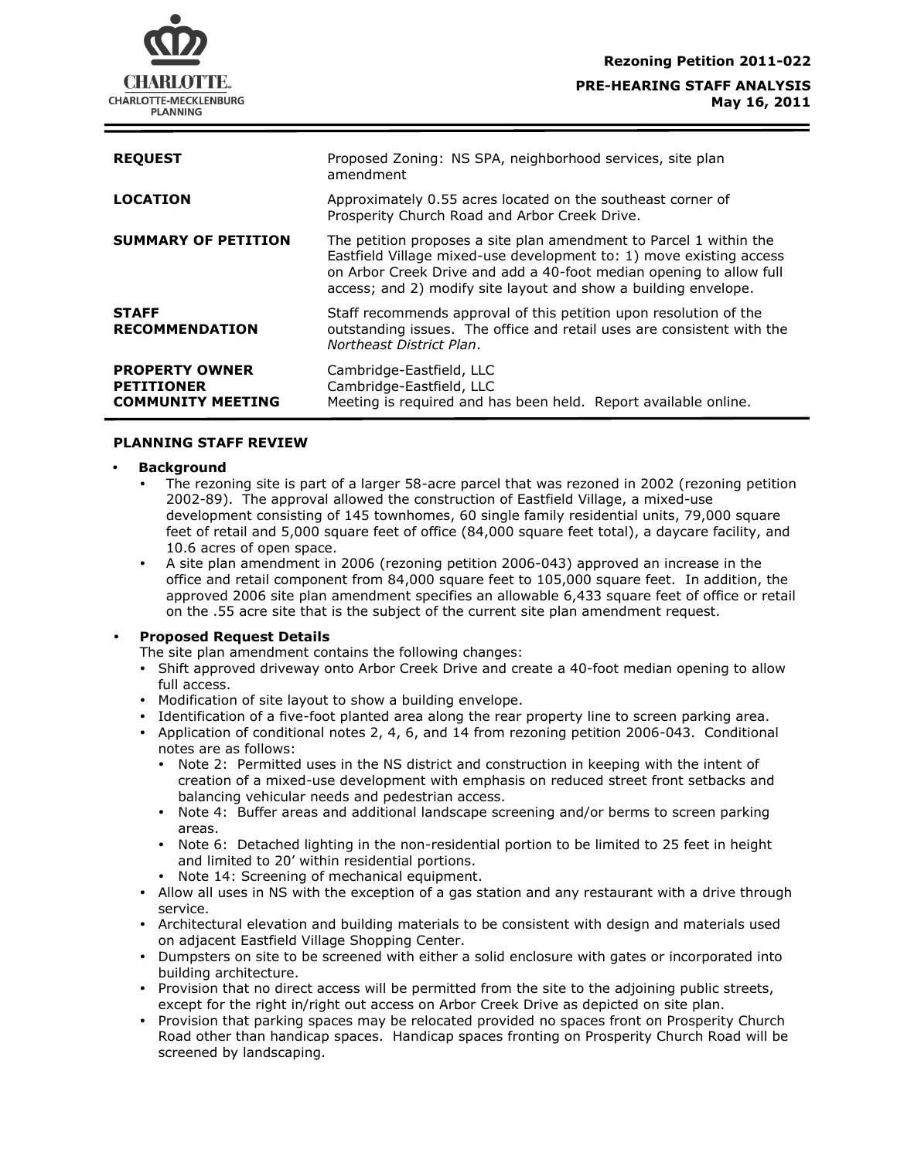

| <b>REQUEST</b>                                                         | Proposed Zoning: NS SPA, neighborhood services, site plan<br>amendment                                                                                                                                                                                                              |
|------------------------------------------------------------------------|-------------------------------------------------------------------------------------------------------------------------------------------------------------------------------------------------------------------------------------------------------------------------------------|
| <b>LOCATION</b>                                                        | Approximately 0.55 acres located on the southeast corner of<br>Prosperity Church Road and Arbor Creek Drive.                                                                                                                                                                        |
| <b>SUMMARY OF PETITION</b>                                             | The petition proposes a site plan amendment to Parcel 1 within the<br>Eastfield Village mixed-use development to: 1) move existing access<br>on Arbor Creek Drive and add a 40-foot median opening to allow full<br>access; and 2) modify site layout and show a building envelope. |
| <b>STAFF</b><br><b>RECOMMENDATION</b>                                  | Staff recommends approval of this petition upon resolution of the<br>outstanding issues. The office and retail uses are consistent with the<br>Northeast District Plan.                                                                                                             |
| <b>PROPERTY OWNER</b><br><b>PETITIONER</b><br><b>COMMUNITY MEETING</b> | Cambridge-Eastfield, LLC<br>Cambridge-Eastfield, LLC<br>Meeting is required and has been held. Report available online.                                                                                                                                                             |

# **PLANNING STAFF REVIEW**

#### **Background**

- The rezoning site is part of a larger 58-acre parcel that was rezoned in 2002 (rezoning petition 2002-89). The approval allowed the construction of Eastfield Village, a mixed-use development consisting of 145 townhomes, 60 single family residential units, 79,000 square feet of retail and 5,000 square feet of office (84,000 square feet total), a daycare facility, and 10.6 acres of open space.
- A site plan amendment in 2006 (rezoning petition 2006-043) approved an increase in the office and retail component from 84,000 square feet to 105,000 square feet. In addition, the approved 2006 site plan amendment specifies an allowable 6,433 square feet of office or retail on the .55 acre site that is the subject of the current site plan amendment request.

## **Proposed Request Details**

The site plan amendment contains the following changes:

- Shift approved driveway onto Arbor Creek Drive and create a 40-foot median opening to allow full access.
- Modification of site layout to show a building envelope.
- Identification of a five-foot planted area along the rear property line to screen parking area.
- Application of conditional notes 2, 4, 6, and 14 from rezoning petition 2006-043. Conditional notes are as follows:
	- Note 2: Permitted uses in the NS district and construction in keeping with the intent of creation of a mixed-use development with emphasis on reduced street front setbacks and balancing vehicular needs and pedestrian access.
	- Note 4: Buffer areas and additional landscape screening and/or berms to screen parking areas.
	- Note 6: Detached lighting in the non-residential portion to be limited to 25 feet in height and limited to 20' within residential portions.
	- Note 14: Screening of mechanical equipment.
- Allow all uses in NS with the exception of a gas station and any restaurant with a drive through service.
- Architectural elevation and building materials to be consistent with design and materials used on adjacent Eastfield Village Shopping Center.
- Dumpsters on site to be screened with either a solid enclosure with gates or incorporated into building architecture.
- Provision that no direct access will be permitted from the site to the adjoining public streets, except for the right in/right out access on Arbor Creek Drive as depicted on site plan.
- Provision that parking spaces may be relocated provided no spaces front on Prosperity Church Road other than handicap spaces. Handicap spaces fronting on Prosperity Church Road will be screened by landscaping.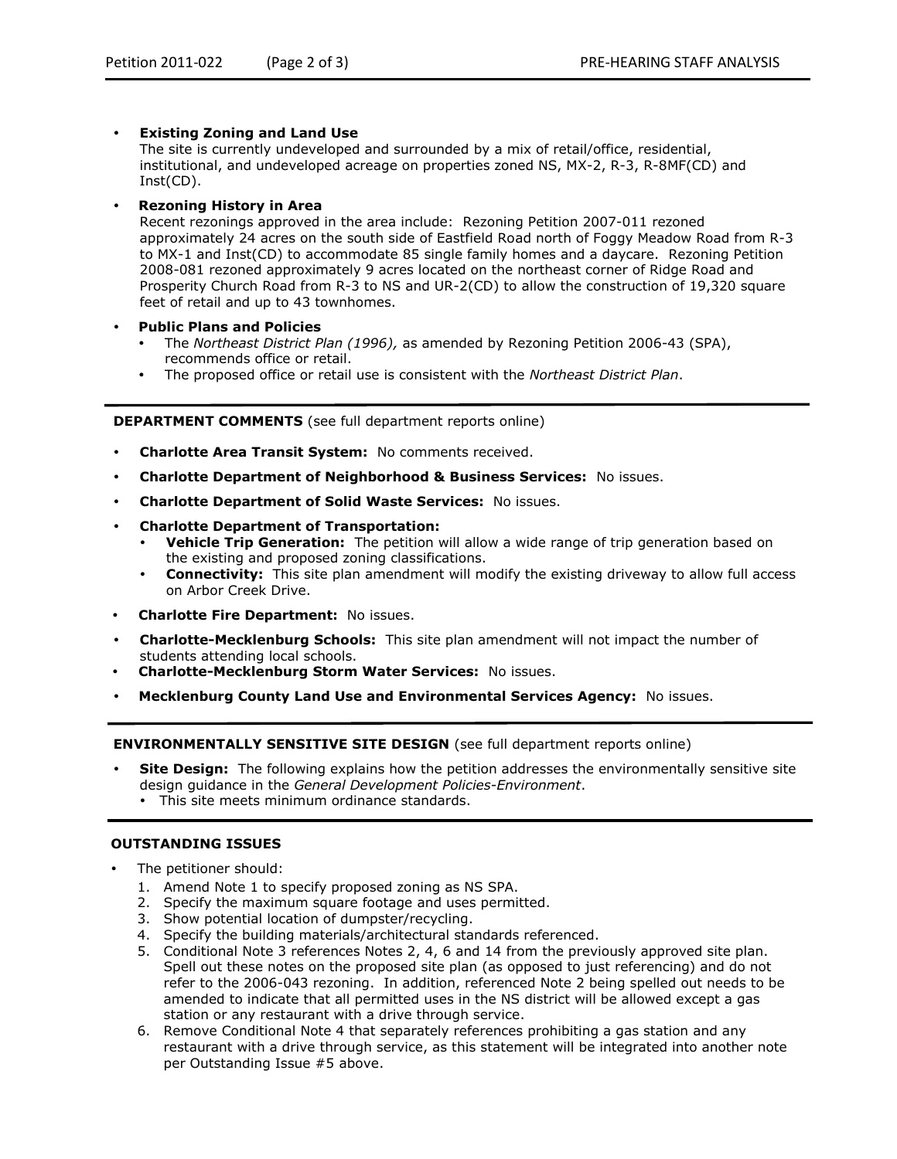# **Existing Zoning and Land Use**

The site is currently undeveloped and surrounded by a mix of retail/office, residential, institutional, and undeveloped acreage on properties zoned NS, MX-2, R-3, R-8MF(CD) and Inst(CD).

# **Rezoning History in Area**

Recent rezonings approved in the area include: Rezoning Petition 2007-011 rezoned approximately 24 acres on the south side of Eastfield Road north of Foggy Meadow Road from R-3 to MX-1 and Inst(CD) to accommodate 85 single family homes and a daycare. Rezoning Petition 2008-081 rezoned approximately 9 acres located on the northeast corner of Ridge Road and Prosperity Church Road from R-3 to NS and UR-2(CD) to allow the construction of 19,320 square feet of retail and up to 43 townhomes.

- **Public Plans and Policies**
	- The *Northeast District Plan (1996),* as amended by Rezoning Petition 2006-43 (SPA), recommends office or retail.
	- The proposed office or retail use is consistent with the *Northeast District Plan*.

**DEPARTMENT COMMENTS** (see full department reports online)

- **Charlotte Area Transit System:** No comments received.
- **Charlotte Department of Neighborhood & Business Services:** No issues.
- **Charlotte Department of Solid Waste Services:** No issues.
- **Charlotte Department of Transportation:**
	- **Vehicle Trip Generation:** The petition will allow a wide range of trip generation based on the existing and proposed zoning classifications.
	- **Connectivity:** This site plan amendment will modify the existing driveway to allow full access on Arbor Creek Drive.
- **Charlotte Fire Department:** No issues.
- **Charlotte-Mecklenburg Schools:** This site plan amendment will not impact the number of students attending local schools.
- **Charlotte-Mecklenburg Storm Water Services:** No issues.
- **Mecklenburg County Land Use and Environmental Services Agency:** No issues.

## **ENVIRONMENTALLY SENSITIVE SITE DESIGN** (see full department reports online)

- **Site Design:** The following explains how the petition addresses the environmentally sensitive site design guidance in the *General Development Policies-Environment*.
	- This site meets minimum ordinance standards.

## **OUTSTANDING ISSUES**

- The petitioner should:
	- 1. Amend Note 1 to specify proposed zoning as NS SPA.
	- 2. Specify the maximum square footage and uses permitted.
	- 3. Show potential location of dumpster/recycling.
	- 4. Specify the building materials/architectural standards referenced.
	- 5. Conditional Note 3 references Notes 2, 4, 6 and 14 from the previously approved site plan. Spell out these notes on the proposed site plan (as opposed to just referencing) and do not refer to the 2006-043 rezoning. In addition, referenced Note 2 being spelled out needs to be amended to indicate that all permitted uses in the NS district will be allowed except a gas station or any restaurant with a drive through service.
	- 6. Remove Conditional Note 4 that separately references prohibiting a gas station and any restaurant with a drive through service, as this statement will be integrated into another note per Outstanding Issue #5 above.